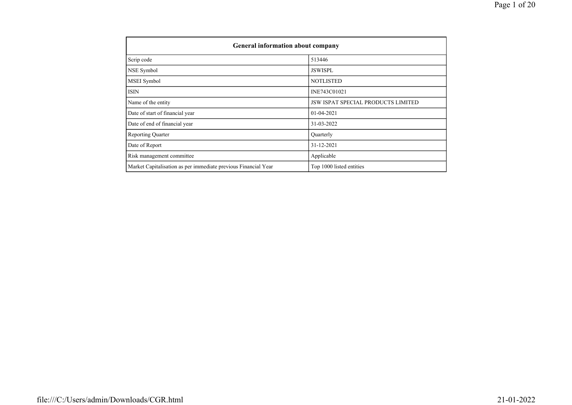| General information about company                              |                                           |
|----------------------------------------------------------------|-------------------------------------------|
| Scrip code                                                     | 513446                                    |
| NSE Symbol                                                     | <b>JSWISPL</b>                            |
| MSEI Symbol                                                    | <b>NOTLISTED</b>                          |
| <b>ISIN</b>                                                    | INE743C01021                              |
| Name of the entity                                             | <b>JSW ISPAT SPECIAL PRODUCTS LIMITED</b> |
| Date of start of financial year                                | 01-04-2021                                |
| Date of end of financial year                                  | 31-03-2022                                |
| <b>Reporting Quarter</b>                                       | Quarterly                                 |
| Date of Report                                                 | 31-12-2021                                |
| Risk management committee                                      | Applicable                                |
| Market Capitalisation as per immediate previous Financial Year | Top 1000 listed entities                  |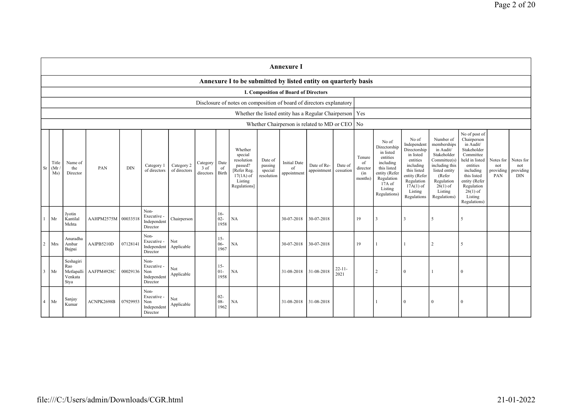|                |                      |                                                   |            |            |                                                       |                            |                               |                          |                                                                                                      |                                             | <b>Annexure I</b>                                         |                            |                      |                                            |                                                                                                                                                |                                                                                                                                                                   |                                                                                                                                                                          |                                                                                                                                                                                                         |                                      |                                             |
|----------------|----------------------|---------------------------------------------------|------------|------------|-------------------------------------------------------|----------------------------|-------------------------------|--------------------------|------------------------------------------------------------------------------------------------------|---------------------------------------------|-----------------------------------------------------------|----------------------------|----------------------|--------------------------------------------|------------------------------------------------------------------------------------------------------------------------------------------------|-------------------------------------------------------------------------------------------------------------------------------------------------------------------|--------------------------------------------------------------------------------------------------------------------------------------------------------------------------|---------------------------------------------------------------------------------------------------------------------------------------------------------------------------------------------------------|--------------------------------------|---------------------------------------------|
|                |                      |                                                   |            |            |                                                       |                            |                               |                          | Annexure I to be submitted by listed entity on quarterly basis                                       |                                             |                                                           |                            |                      |                                            |                                                                                                                                                |                                                                                                                                                                   |                                                                                                                                                                          |                                                                                                                                                                                                         |                                      |                                             |
|                |                      |                                                   |            |            |                                                       |                            |                               |                          |                                                                                                      |                                             | I. Composition of Board of Directors                      |                            |                      |                                            |                                                                                                                                                |                                                                                                                                                                   |                                                                                                                                                                          |                                                                                                                                                                                                         |                                      |                                             |
|                |                      |                                                   |            |            |                                                       |                            |                               |                          | Disclosure of notes on composition of board of directors explanatory                                 |                                             |                                                           |                            |                      |                                            |                                                                                                                                                |                                                                                                                                                                   |                                                                                                                                                                          |                                                                                                                                                                                                         |                                      |                                             |
|                |                      |                                                   |            |            |                                                       |                            |                               |                          |                                                                                                      |                                             | Whether the listed entity has a Regular Chairperson   Yes |                            |                      |                                            |                                                                                                                                                |                                                                                                                                                                   |                                                                                                                                                                          |                                                                                                                                                                                                         |                                      |                                             |
|                |                      |                                                   |            |            |                                                       |                            |                               |                          |                                                                                                      |                                             | Whether Chairperson is related to MD or CEO No            |                            |                      |                                            |                                                                                                                                                |                                                                                                                                                                   |                                                                                                                                                                          |                                                                                                                                                                                                         |                                      |                                             |
| <b>Sr</b>      | Title<br>(Mr)<br>Ms) | Name of<br>the<br>Director                        | PAN        | <b>DIN</b> | Category 1<br>of directors                            | Category 2<br>of directors | Category<br>3 of<br>directors | Date<br>of<br>Birth      | Whether<br>special<br>resolution<br>passed?<br>[Refer Reg.<br>$17(1A)$ of<br>Listing<br>Regulations] | Date of<br>passing<br>special<br>resolution | <b>Initial Date</b><br>$\sigma$ f<br>appointment          | Date of Re-<br>appointment | Date of<br>cessation | Tenure<br>of<br>director<br>(in<br>months) | No of<br>Directorship<br>in listed<br>entities<br>including<br>this listed<br>entity (Refer<br>Regulation<br>17A of<br>Listing<br>Regulations) | No of<br>Independent<br>Directorship<br>in listed<br>entities<br>including<br>this listed<br>entity (Refer<br>Regulation<br>$17A(1)$ of<br>Listing<br>Regulations | Number of<br>memberships<br>in Audit/<br>Stakeholder<br>Committee(s)<br>including this<br>listed entity<br>(Refer<br>Regulation<br>$26(1)$ of<br>Listing<br>Regulations) | No of post of<br>Chairperson<br>in Audit/<br>Stakeholder<br>Committee<br>held in listed<br>entities<br>including<br>this listed<br>entity (Refer<br>Regulation<br>$26(1)$ of<br>Listing<br>Regulations) | Notes for<br>not<br>providing<br>PAN | Notes for<br>not<br>providing<br><b>DIN</b> |
|                | Mr                   | Jyotin<br>Kantilal<br>Mehta                       | AAHPM2575M | 00033518   | Non-<br>Executive -<br>Independent<br>Director        | Chairperson                |                               | $16-$<br>$02 -$<br>1958  | NA                                                                                                   |                                             | 30-07-2018                                                | 30-07-2018                 |                      | 19                                         | $\mathbf{3}$                                                                                                                                   | 3                                                                                                                                                                 | 5                                                                                                                                                                        | $\sim$                                                                                                                                                                                                  |                                      |                                             |
| $\overline{2}$ | Mrs                  | Anuradha<br>Ambar<br>Bajpai                       | AAIPB5210D | 07128141   | Non-<br>Executive -<br>Independent<br>Director        | Not<br>Applicable          |                               | $15 -$<br>$06 -$<br>1967 | <b>NA</b>                                                                                            |                                             | 30-07-2018                                                | 30-07-2018                 |                      | 19                                         |                                                                                                                                                |                                                                                                                                                                   | 2                                                                                                                                                                        | $\sim$                                                                                                                                                                                                  |                                      |                                             |
| 3              | Mr                   | Seshagiri<br>Rao<br>Metlapalli<br>Venkata<br>Stya | AAFPM4928C | 00029136   | Non-<br>Executive -<br>Non<br>Independent<br>Director | Not<br>Applicable          |                               | $15 -$<br>$01 -$<br>1958 | <b>NA</b>                                                                                            |                                             | 31-08-2018 31-08-2018                                     |                            | $22 - 11 -$<br>2021  |                                            |                                                                                                                                                | $\Omega$                                                                                                                                                          |                                                                                                                                                                          |                                                                                                                                                                                                         |                                      |                                             |
|                | Mr                   | Sanjay<br>Kumar                                   | ACNPK2698B | 07929953   | Non-<br>Executive -<br>Non<br>Independent<br>Director | Not<br>Applicable          |                               | $02 -$<br>$08 -$<br>1962 | <b>NA</b>                                                                                            |                                             | 31-08-2018                                                | 31-08-2018                 |                      |                                            |                                                                                                                                                | $\mathbf{0}$                                                                                                                                                      | $\mathbf{0}$                                                                                                                                                             | $\Omega$                                                                                                                                                                                                |                                      |                                             |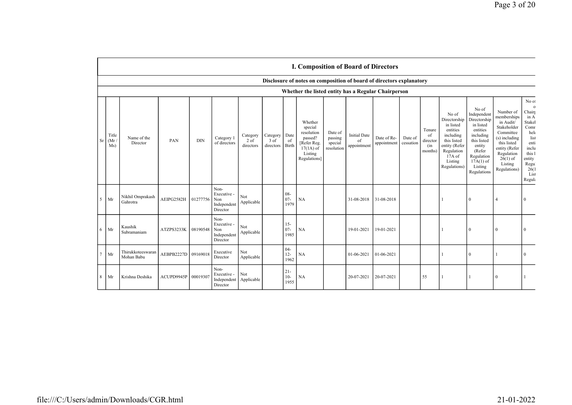|                | <b>I. Composition of Board of Directors</b> |                                 |            |            |                                                       |                                 |                                 |                          |                                                                                                      |                                             |                                          |                            |                      |                                            |                                                                                                                                                |                                                                                                                                                                      |                                                                                                                                                                           |                                                                                                                                                  |
|----------------|---------------------------------------------|---------------------------------|------------|------------|-------------------------------------------------------|---------------------------------|---------------------------------|--------------------------|------------------------------------------------------------------------------------------------------|---------------------------------------------|------------------------------------------|----------------------------|----------------------|--------------------------------------------|------------------------------------------------------------------------------------------------------------------------------------------------|----------------------------------------------------------------------------------------------------------------------------------------------------------------------|---------------------------------------------------------------------------------------------------------------------------------------------------------------------------|--------------------------------------------------------------------------------------------------------------------------------------------------|
|                |                                             |                                 |            |            |                                                       |                                 |                                 |                          | Disclosure of notes on composition of board of directors explanatory                                 |                                             |                                          |                            |                      |                                            |                                                                                                                                                |                                                                                                                                                                      |                                                                                                                                                                           |                                                                                                                                                  |
|                |                                             |                                 |            |            |                                                       |                                 |                                 |                          | Whether the listed entity has a Regular Chairperson                                                  |                                             |                                          |                            |                      |                                            |                                                                                                                                                |                                                                                                                                                                      |                                                                                                                                                                           |                                                                                                                                                  |
| <sub>Sr</sub>  | Title<br>(Mr)<br>Ms)                        | Name of the<br>Director         | PAN        | <b>DIN</b> | Category 1<br>of directors                            | Category<br>$2$ of<br>directors | Category<br>$3$ of<br>directors | Date<br>of<br>Birth      | Whether<br>special<br>resolution<br>passed?<br>[Refer Reg.<br>$17(1A)$ of<br>Listing<br>Regulations] | Date of<br>passing<br>special<br>resolution | <b>Initial Date</b><br>of<br>appointment | Date of Re-<br>appointment | Date of<br>cessation | Tenure<br>of<br>director<br>(in<br>months) | No of<br>Directorship<br>in listed<br>entities<br>including<br>this listed<br>entity (Refer<br>Regulation<br>17A of<br>Listing<br>Regulations) | No of<br>Independent<br>Directorship<br>in listed<br>entities<br>including<br>this listed<br>entity<br>(Refer<br>Regulation<br>$17A(1)$ of<br>Listing<br>Regulations | Number of<br>memberships<br>in Audit/<br>Stakeholder<br>Committee<br>(s) including<br>this listed<br>entity (Refer<br>Regulation<br>$26(1)$ of<br>Listing<br>Regulations) | No of<br>$\mathbf 0$<br>Chairt<br>in A<br>Stakel<br>Comr<br>hele<br>list<br>enti<br>inclu<br>this 1<br>entity<br>Regu<br>26(1)<br>List<br>Regula |
| 5              | Mr                                          | Nikhil Omprakash<br>Gahrotra    | AEIPG2582H | 01277756   | Non-<br>Executive -<br>Non<br>Independent<br>Director | Not<br>Applicable               |                                 | $08 -$<br>$07 -$<br>1979 | NA                                                                                                   |                                             | 31-08-2018                               | 31-08-2018                 |                      |                                            |                                                                                                                                                | $\Omega$                                                                                                                                                             | $\overline{4}$                                                                                                                                                            | $\theta$                                                                                                                                         |
| 6              | Mr                                          | Kaushik<br>Subramaniam          | ATZPS3233K | 08190548   | Non-<br>Executive -<br>Non<br>Independent<br>Director | Not<br>Applicable               |                                 | $15 -$<br>$07 -$<br>1985 | <b>NA</b>                                                                                            |                                             | 19-01-2021                               | 19-01-2021                 |                      |                                            |                                                                                                                                                | $\Omega$                                                                                                                                                             | $\Omega$                                                                                                                                                                  | $\Omega$                                                                                                                                         |
| $\overline{7}$ | Mr                                          | Thirukkoteeswaran<br>Mohan Babu | AEBPB2227D | 09169018   | Executive<br>Director                                 | Not<br>Applicable               |                                 | $04-$<br>$12 -$<br>1962  | NA                                                                                                   |                                             | 01-06-2021                               | 01-06-2021                 |                      |                                            |                                                                                                                                                | $\Omega$                                                                                                                                                             |                                                                                                                                                                           | $\theta$                                                                                                                                         |
| 8              | Mr                                          | Krishna Deshika                 | ACUPD9945P | 00019307   | Non-<br>Executive -<br>Independent<br>Director        | Not<br>Applicable               |                                 | $21 -$<br>$10-$<br>1955  | <b>NA</b>                                                                                            |                                             | 20-07-2021                               | 20-07-2021                 |                      | 55                                         |                                                                                                                                                |                                                                                                                                                                      | $\Omega$                                                                                                                                                                  |                                                                                                                                                  |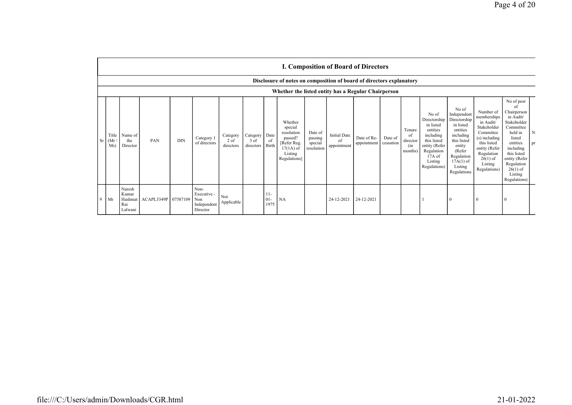|             | <b>I. Composition of Board of Directors</b> |                                                                                                                             |            |            |                                                       |                                 |                                 |                         |                                                                                                      |                                             |                                          |                            |                      |                                            |                                                                                                                                                |                                                                                                                                                                      |                                                                                                                                                                           |                                                                                                                                                                                                               |         |
|-------------|---------------------------------------------|-----------------------------------------------------------------------------------------------------------------------------|------------|------------|-------------------------------------------------------|---------------------------------|---------------------------------|-------------------------|------------------------------------------------------------------------------------------------------|---------------------------------------------|------------------------------------------|----------------------------|----------------------|--------------------------------------------|------------------------------------------------------------------------------------------------------------------------------------------------|----------------------------------------------------------------------------------------------------------------------------------------------------------------------|---------------------------------------------------------------------------------------------------------------------------------------------------------------------------|---------------------------------------------------------------------------------------------------------------------------------------------------------------------------------------------------------------|---------|
|             |                                             | Disclosure of notes on composition of board of directors explanatory<br>Whether the listed entity has a Regular Chairperson |            |            |                                                       |                                 |                                 |                         |                                                                                                      |                                             |                                          |                            |                      |                                            |                                                                                                                                                |                                                                                                                                                                      |                                                                                                                                                                           |                                                                                                                                                                                                               |         |
| Sr          | Title<br>(Mr)<br>Ms)                        | Name of<br>the<br>Director                                                                                                  | PAN        | <b>DIN</b> | Category 1<br>of directors                            | Category<br>$2$ of<br>directors | Category  <br>3 of<br>directors | Date<br>of<br>Birth     | Whether<br>special<br>resolution<br>passed?<br>[Refer Reg.<br>$17(1A)$ of<br>Listing<br>Regulations] | Date of<br>passing<br>special<br>resolution | <b>Initial Date</b><br>of<br>appointment | Date of Re-<br>appointment | Date of<br>cessation | Tenure<br>of<br>director<br>(in<br>months) | No of<br>Directorship<br>in listed<br>entities<br>including<br>this listed<br>entity (Refer<br>Regulation<br>17A of<br>Listing<br>Regulations) | No of<br>Independent<br>Directorship<br>in listed<br>entities<br>including<br>this listed<br>entity<br>(Refer<br>Regulation<br>$17A(1)$ of<br>Listing<br>Regulations | Number of<br>memberships<br>in Audit/<br>Stakeholder<br>Committee<br>(s) including<br>this listed<br>entity (Refer<br>Regulation<br>$26(1)$ of<br>Listing<br>Regulations) | No of post<br>of<br>Chairperson<br>in Audit/<br>Stakeholder<br>Committee<br>held in<br>listed<br>entities<br>including<br>this listed<br>entity (Refer<br>Regulation<br>$26(1)$ of<br>Listing<br>Regulations) | N<br>pr |
| $\mathbf Q$ | Mr                                          | Naresh<br>Kumar<br>Hashmat<br>Rai<br>Lalwani                                                                                | ACAPL3349P | 07587109   | Non-<br>Executive -<br>Non<br>Independent<br>Director | Not<br>Applicable               |                                 | $11-$<br>$01 -$<br>1975 | NA                                                                                                   |                                             | 24-12-2021                               | 24-12-2021                 |                      |                                            |                                                                                                                                                |                                                                                                                                                                      | $\theta$                                                                                                                                                                  |                                                                                                                                                                                                               |         |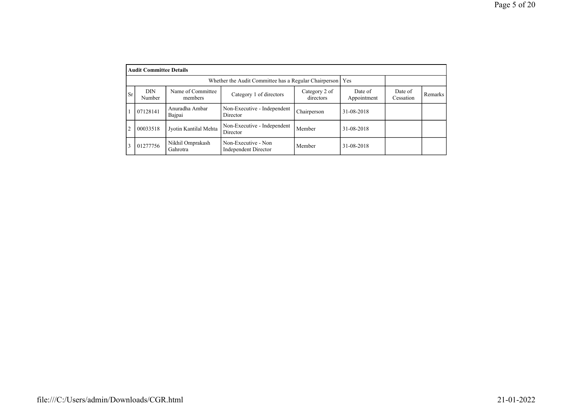|                | <b>Audit Committee Details</b> |                              |                                                             |                            |                        |                      |         |
|----------------|--------------------------------|------------------------------|-------------------------------------------------------------|----------------------------|------------------------|----------------------|---------|
|                |                                |                              | Whether the Audit Committee has a Regular Chairperson   Yes |                            |                        |                      |         |
| <b>Sr</b>      | DIN<br>Number                  | Name of Committee<br>members | Category 1 of directors                                     | Category 2 of<br>directors | Date of<br>Appointment | Date of<br>Cessation | Remarks |
|                | 07128141                       | Anuradha Ambar<br>Bajpai     | Non-Executive - Independent<br>Director                     | Chairperson                | 31-08-2018             |                      |         |
| $\overline{2}$ | 00033518                       | Jyotin Kantilal Mehta        | Non-Executive - Independent<br>Director                     | Member                     | 31-08-2018             |                      |         |
|                | 01277756                       | Nikhil Omprakash<br>Gahrotra | Non-Executive - Non<br>Independent Director                 | Member                     | 31-08-2018             |                      |         |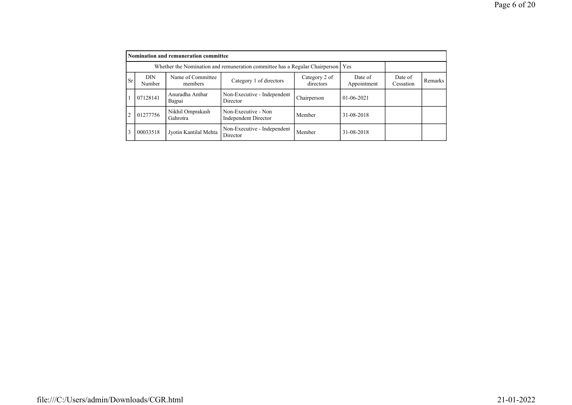|           |                      | Nomination and remuneration committee |                                                                                   |                            |                        |                      |         |
|-----------|----------------------|---------------------------------------|-----------------------------------------------------------------------------------|----------------------------|------------------------|----------------------|---------|
|           |                      |                                       | Whether the Nomination and remuneration committee has a Regular Chairperson   Yes |                            |                        |                      |         |
| <b>Sr</b> | <b>DIN</b><br>Number | Name of Committee<br>members          | Category 1 of directors                                                           | Category 2 of<br>directors | Date of<br>Appointment | Date of<br>Cessation | Remarks |
|           | 07128141             | Anuradha Ambar<br>Bajpai              | Non-Executive - Independent<br>Director                                           | Chairperson                | $01-06-2021$           |                      |         |
| 2         | 01277756             | Nikhil Omprakash<br>Gahrotra          | Non-Executive - Non<br>Independent Director                                       | Member                     | 31-08-2018             |                      |         |
| 3         | 00033518             | Jyotin Kantilal Mehta                 | Non-Executive - Independent<br>Director                                           | Member                     | 31-08-2018             |                      |         |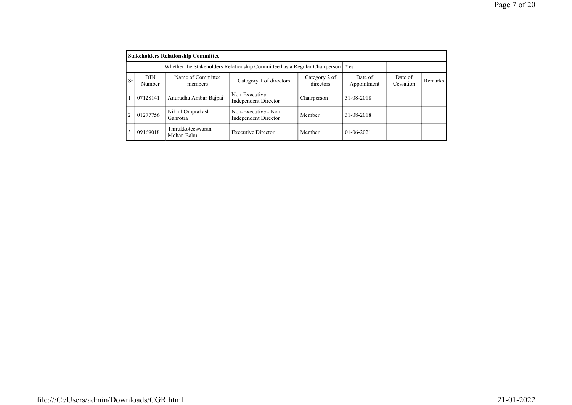|                |                      | <b>Stakeholders Relationship Committee</b> |                                                                                 |                            |                        |                      |         |
|----------------|----------------------|--------------------------------------------|---------------------------------------------------------------------------------|----------------------------|------------------------|----------------------|---------|
|                |                      |                                            | Whether the Stakeholders Relationship Committee has a Regular Chairperson   Yes |                            |                        |                      |         |
| <b>Sr</b>      | <b>DIN</b><br>Number | Name of Committee<br>members               | Category 1 of directors                                                         | Category 2 of<br>directors | Date of<br>Appointment | Date of<br>Cessation | Remarks |
|                | 07128141             | Anuradha Ambar Bajpai                      | Non-Executive -<br>Independent Director                                         | Chairperson                | 31-08-2018             |                      |         |
| $\overline{2}$ | 01277756             | Nikhil Omprakash<br>Gahrotra               | Non-Executive - Non<br>Independent Director                                     | Member                     | 31-08-2018             |                      |         |
| 3              | 09169018             | Thirukkoteeswaran<br>Mohan Babu            | <b>Executive Director</b>                                                       | Member                     | $01 - 06 - 2021$       |                      |         |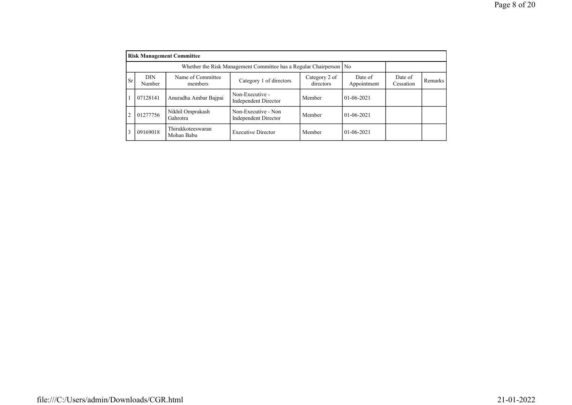|                |               | <b>Risk Management Committee</b> |                                                                      |                            |                        |                      |         |
|----------------|---------------|----------------------------------|----------------------------------------------------------------------|----------------------------|------------------------|----------------------|---------|
|                |               |                                  | Whether the Risk Management Committee has a Regular Chairperson   No |                            |                        |                      |         |
| <b>Sr</b>      | DIN<br>Number | Name of Committee<br>members     | Category 1 of directors                                              | Category 2 of<br>directors | Date of<br>Appointment | Date of<br>Cessation | Remarks |
|                | 07128141      | Anuradha Ambar Bajpai            | Non-Executive -<br>Independent Director                              | Member                     | $01-06-2021$           |                      |         |
| $\overline{c}$ | 01277756      | Nikhil Omprakash<br>Gahrotra     | Non-Executive - Non<br>Independent Director                          | Member                     | $01-06-2021$           |                      |         |
| 3              | 09169018      | Thirukkoteeswaran<br>Mohan Babu  | <b>Executive Director</b>                                            | Member                     | $01 - 06 - 2021$       |                      |         |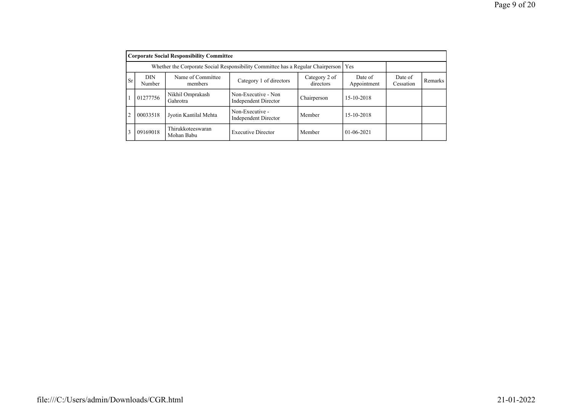|                | <b>Corporate Social Responsibility Committee</b> |                                 |                                                                                       |                            |                        |                      |         |  |  |  |
|----------------|--------------------------------------------------|---------------------------------|---------------------------------------------------------------------------------------|----------------------------|------------------------|----------------------|---------|--|--|--|
|                |                                                  |                                 | Whether the Corporate Social Responsibility Committee has a Regular Chairperson   Yes |                            |                        |                      |         |  |  |  |
| <b>Sr</b>      | <b>DIN</b><br>Number                             | Name of Committee<br>members    | Category 1 of directors                                                               | Category 2 of<br>directors | Date of<br>Appointment | Date of<br>Cessation | Remarks |  |  |  |
|                | 01277756                                         | Nikhil Omprakash<br>Gahrotra    | Non-Executive - Non<br>Independent Director                                           | Chairperson                | 15-10-2018             |                      |         |  |  |  |
| $\overline{2}$ | 00033518                                         | Jyotin Kantilal Mehta           | Non-Executive -<br><b>Independent Director</b>                                        | Member                     | 15-10-2018             |                      |         |  |  |  |
| 3              | 09169018                                         | Thirukkoteeswaran<br>Mohan Babu | <b>Executive Director</b>                                                             | Member                     | $01-06-2021$           |                      |         |  |  |  |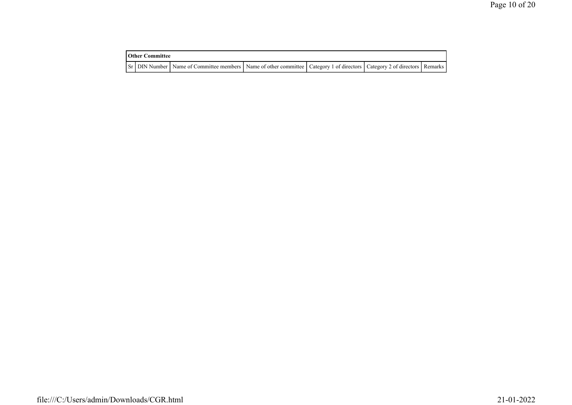| <b>Other Committee</b> |                                                                                                                                     |  |  |
|------------------------|-------------------------------------------------------------------------------------------------------------------------------------|--|--|
|                        | Sr   DIN Number   Name of Committee members   Name of other committee   Category 1 of directors   Category 2 of directors   Remarks |  |  |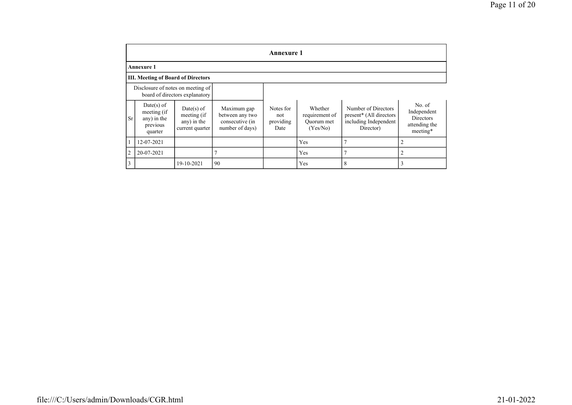|                |                                                                   |                                                               |                                                                      | <b>Annexure 1</b>                     |                                                     |                                                                                      |                                                                        |
|----------------|-------------------------------------------------------------------|---------------------------------------------------------------|----------------------------------------------------------------------|---------------------------------------|-----------------------------------------------------|--------------------------------------------------------------------------------------|------------------------------------------------------------------------|
|                | <b>Annexure 1</b>                                                 |                                                               |                                                                      |                                       |                                                     |                                                                                      |                                                                        |
|                | <b>III. Meeting of Board of Directors</b>                         |                                                               |                                                                      |                                       |                                                     |                                                                                      |                                                                        |
|                | Disclosure of notes on meeting of                                 | board of directors explanatory                                |                                                                      |                                       |                                                     |                                                                                      |                                                                        |
| Sr             | $Date(s)$ of<br>meeting (if<br>any) in the<br>previous<br>quarter | $Date(s)$ of<br>meeting (if<br>any) in the<br>current quarter | Maximum gap<br>between any two<br>consecutive (in<br>number of days) | Notes for<br>not<br>providing<br>Date | Whether<br>requirement of<br>Ouorum met<br>(Yes/No) | Number of Directors<br>present* (All directors<br>including Independent<br>Director) | No. of<br>Independent<br><b>Directors</b><br>attending the<br>meeting* |
|                | 12-07-2021                                                        |                                                               |                                                                      |                                       | Yes                                                 | π                                                                                    | 2                                                                      |
| $\overline{2}$ | 20-07-2021                                                        |                                                               |                                                                      |                                       | Yes                                                 | π                                                                                    | $\overline{2}$                                                         |
| 3              |                                                                   | 19-10-2021                                                    | 90                                                                   |                                       | Yes                                                 | 8                                                                                    | 3                                                                      |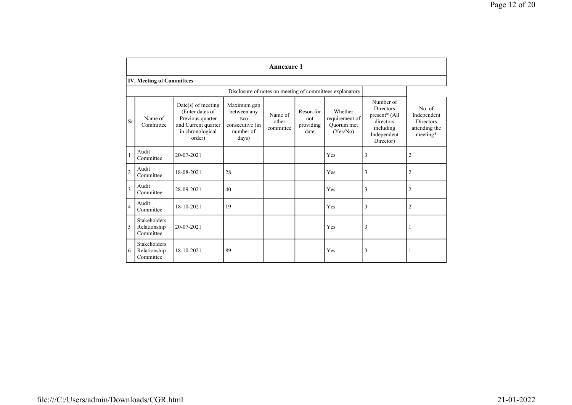|                |                                           |                                                                                                                  |                                                                            | <b>Annexure 1</b>             |                                       |                                                          |                                                                                                      |                                                                        |
|----------------|-------------------------------------------|------------------------------------------------------------------------------------------------------------------|----------------------------------------------------------------------------|-------------------------------|---------------------------------------|----------------------------------------------------------|------------------------------------------------------------------------------------------------------|------------------------------------------------------------------------|
|                | <b>IV. Meeting of Committees</b>          |                                                                                                                  |                                                                            |                               |                                       |                                                          |                                                                                                      |                                                                        |
|                |                                           |                                                                                                                  |                                                                            |                               |                                       | Disclosure of notes on meeting of committees explanatory |                                                                                                      |                                                                        |
| <b>Sr</b>      | Name of<br>Committee                      | $Date(s)$ of meeting<br>(Enter dates of<br>Previous quarter<br>and Current quarter<br>in chronological<br>order) | Maximum gap<br>between any<br>two<br>consecutive (in<br>number of<br>days) | Name of<br>other<br>committee | Reson for<br>not<br>providing<br>date | Whether<br>requirement of<br>Ouorum met<br>(Yes/No)      | Number of<br><b>Directors</b><br>present* (All<br>directors<br>including<br>Independent<br>Director) | No. of<br>Independent<br><b>Directors</b><br>attending the<br>meeting* |
| $\mathbf{1}$   | Audit<br>Committee                        | 20-07-2021                                                                                                       |                                                                            |                               |                                       | Yes                                                      | 3                                                                                                    | $\overline{2}$                                                         |
| $\overline{c}$ | Audit<br>Committee                        | 18-08-2021                                                                                                       | 28                                                                         |                               |                                       | Yes                                                      | 3                                                                                                    | $\overline{2}$                                                         |
| $\overline{3}$ | Audit<br>Committee                        | 28-09-2021                                                                                                       | 40                                                                         |                               |                                       | Yes                                                      | 3                                                                                                    | $\overline{2}$                                                         |
| $\overline{4}$ | Audit<br>Committee                        | 18-10-2021                                                                                                       | 19                                                                         |                               |                                       | Yes                                                      | 3                                                                                                    | $\overline{2}$                                                         |
| 5              | Stakeholders<br>Relationship<br>Committee | 20-07-2021                                                                                                       |                                                                            |                               |                                       | Yes                                                      | 3                                                                                                    | 1                                                                      |
| 6              | Stakeholders<br>Relationship<br>Committee | 18-10-2021                                                                                                       | 89                                                                         |                               |                                       | Yes                                                      | 3                                                                                                    | 1                                                                      |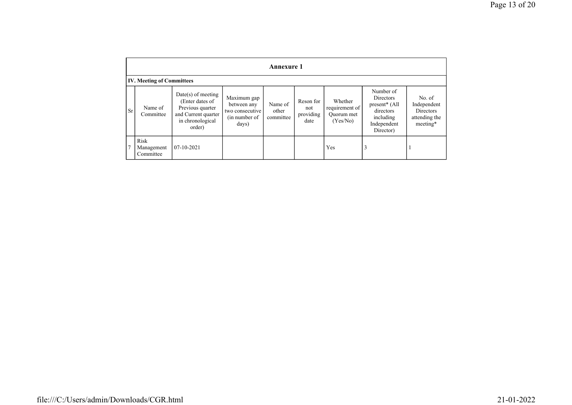|           | <b>Annexure 1</b>                |                                                                                                                  |                                                                         |                               |                                       |                                                     |                                                                                                           |                                                                        |
|-----------|----------------------------------|------------------------------------------------------------------------------------------------------------------|-------------------------------------------------------------------------|-------------------------------|---------------------------------------|-----------------------------------------------------|-----------------------------------------------------------------------------------------------------------|------------------------------------------------------------------------|
|           | <b>IV. Meeting of Committees</b> |                                                                                                                  |                                                                         |                               |                                       |                                                     |                                                                                                           |                                                                        |
| <b>Sr</b> | Name of<br>Committee             | $Date(s)$ of meeting<br>(Enter dates of<br>Previous quarter<br>and Current quarter<br>in chronological<br>order) | Maximum gap<br>between any<br>two consecutive<br>(in number of<br>days) | Name of<br>other<br>committee | Reson for<br>not<br>providing<br>date | Whether<br>requirement of<br>Quorum met<br>(Yes/No) | Number of<br>Directors<br>present <sup>*</sup> (All<br>directors<br>including<br>Independent<br>Director) | No. of<br>Independent<br><b>Directors</b><br>attending the<br>meeting* |
| 7         | Risk<br>Management<br>Committee  | $07 - 10 - 2021$                                                                                                 |                                                                         |                               |                                       | Yes                                                 | 3                                                                                                         |                                                                        |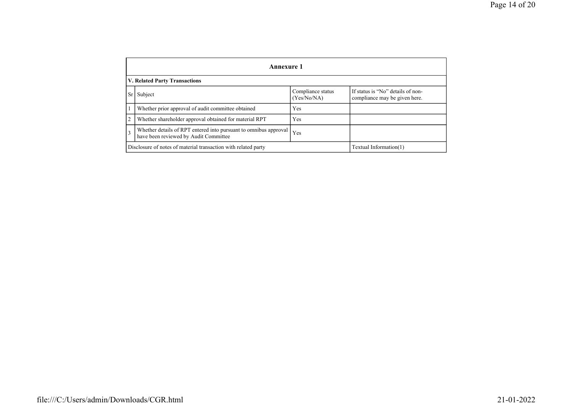|                | Annexure 1                                                                                                |                                  |                                                                    |  |  |
|----------------|-----------------------------------------------------------------------------------------------------------|----------------------------------|--------------------------------------------------------------------|--|--|
|                | <b>V. Related Party Transactions</b>                                                                      |                                  |                                                                    |  |  |
| Sr             | Subject                                                                                                   | Compliance status<br>(Yes/No/NA) | If status is "No" details of non-<br>compliance may be given here. |  |  |
|                | Whether prior approval of audit committee obtained                                                        | Yes                              |                                                                    |  |  |
| $\overline{2}$ | Whether shareholder approval obtained for material RPT                                                    | Yes                              |                                                                    |  |  |
| $\overline{3}$ | Whether details of RPT entered into pursuant to omnibus approval<br>have been reviewed by Audit Committee | Yes                              |                                                                    |  |  |
|                | Disclosure of notes of material transaction with related party<br>Textual Information(1)                  |                                  |                                                                    |  |  |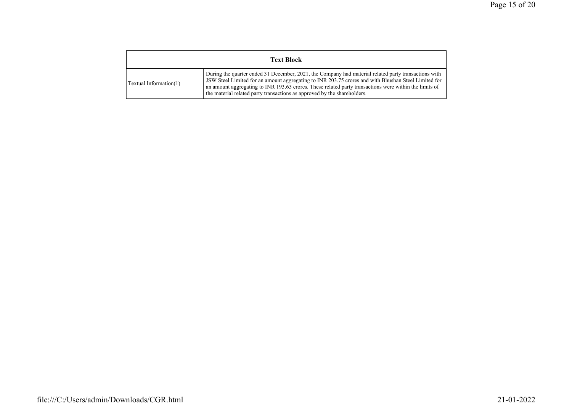| <b>Text Block</b>      |                                                                                                                                                                                                                                                                                                                                                                                                   |  |
|------------------------|---------------------------------------------------------------------------------------------------------------------------------------------------------------------------------------------------------------------------------------------------------------------------------------------------------------------------------------------------------------------------------------------------|--|
| Textual Information(1) | During the quarter ended 31 December, 2021, the Company had material related party transactions with<br>JSW Steel Limited for an amount aggregating to INR 203.75 crores and with Bhushan Steel Limited for<br>an amount aggregating to INR 193.63 crores. These related party transactions were within the limits of<br>the material related party transactions as approved by the shareholders. |  |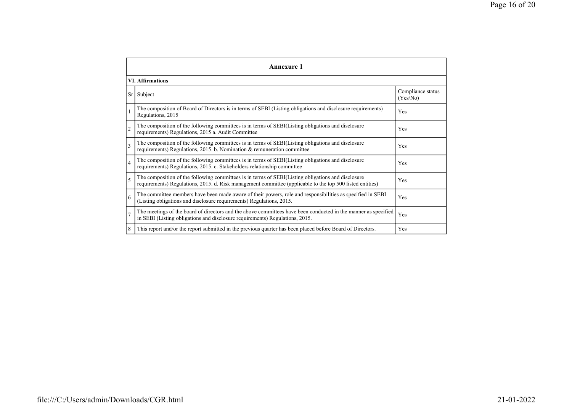|                         | Annexure 1                                                                                                                                                                                                      |                               |  |  |  |
|-------------------------|-----------------------------------------------------------------------------------------------------------------------------------------------------------------------------------------------------------------|-------------------------------|--|--|--|
|                         | <b>VI. Affirmations</b>                                                                                                                                                                                         |                               |  |  |  |
| Sr <sup>1</sup>         | Subject                                                                                                                                                                                                         | Compliance status<br>(Yes/No) |  |  |  |
|                         | The composition of Board of Directors is in terms of SEBI (Listing obligations and disclosure requirements)<br>Regulations, 2015                                                                                | Yes                           |  |  |  |
| $\overline{2}$          | The composition of the following committees is in terms of SEBI(Listing obligations and disclosure<br>requirements) Regulations, 2015 a. Audit Committee                                                        | Yes                           |  |  |  |
| $\overline{\mathbf{3}}$ | The composition of the following committees is in terms of SEBI(Listing obligations and disclosure<br>requirements) Regulations, 2015. b. Nomination & remuneration committee                                   | Yes                           |  |  |  |
| $\overline{4}$          | The composition of the following committees is in terms of SEBI(Listing obligations and disclosure<br>requirements) Regulations, 2015. c. Stakeholders relationship committee                                   | Yes                           |  |  |  |
| 5                       | The composition of the following committees is in terms of SEBI(Listing obligations and disclosure<br>requirements) Regulations, 2015. d. Risk management committee (applicable to the top 500 listed entities) | Yes                           |  |  |  |
| 6                       | The committee members have been made aware of their powers, role and responsibilities as specified in SEBI<br>(Listing obligations and disclosure requirements) Regulations, 2015.                              | Yes                           |  |  |  |
|                         | The meetings of the board of directors and the above committees have been conducted in the manner as specified<br>in SEBI (Listing obligations and disclosure requirements) Regulations, 2015.                  | Yes                           |  |  |  |
| 8                       | This report and/or the report submitted in the previous quarter has been placed before Board of Directors.                                                                                                      | Yes                           |  |  |  |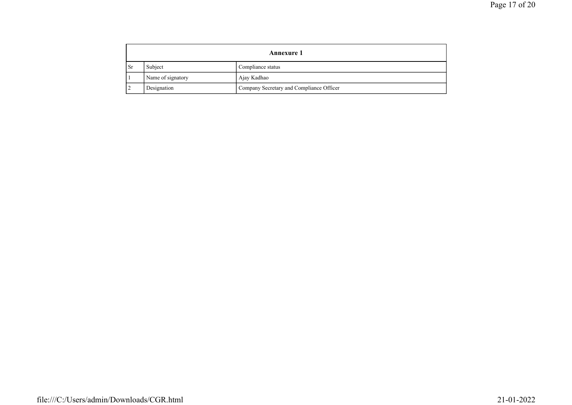|     | <b>Annexure 1</b> |                                          |  |
|-----|-------------------|------------------------------------------|--|
| -Sr | Subject           | Compliance status                        |  |
|     | Name of signatory | Ajay Kadhao                              |  |
|     | Designation       | Company Secretary and Compliance Officer |  |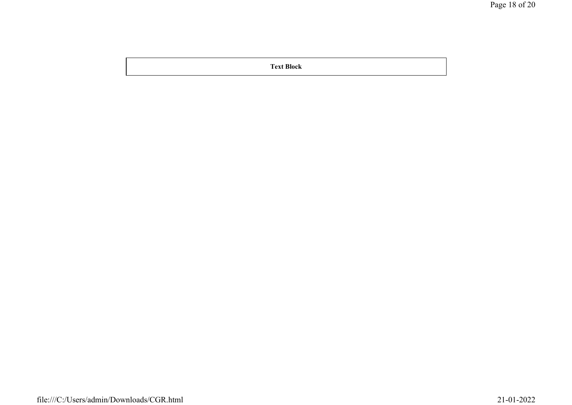Text Block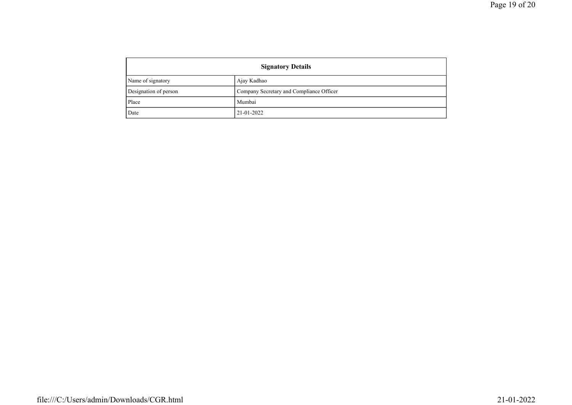| <b>Signatory Details</b> |                                          |  |
|--------------------------|------------------------------------------|--|
| Name of signatory        | Ajay Kadhao                              |  |
| Designation of person    | Company Secretary and Compliance Officer |  |
| Place                    | Mumbai                                   |  |
| Date                     | 21-01-2022                               |  |